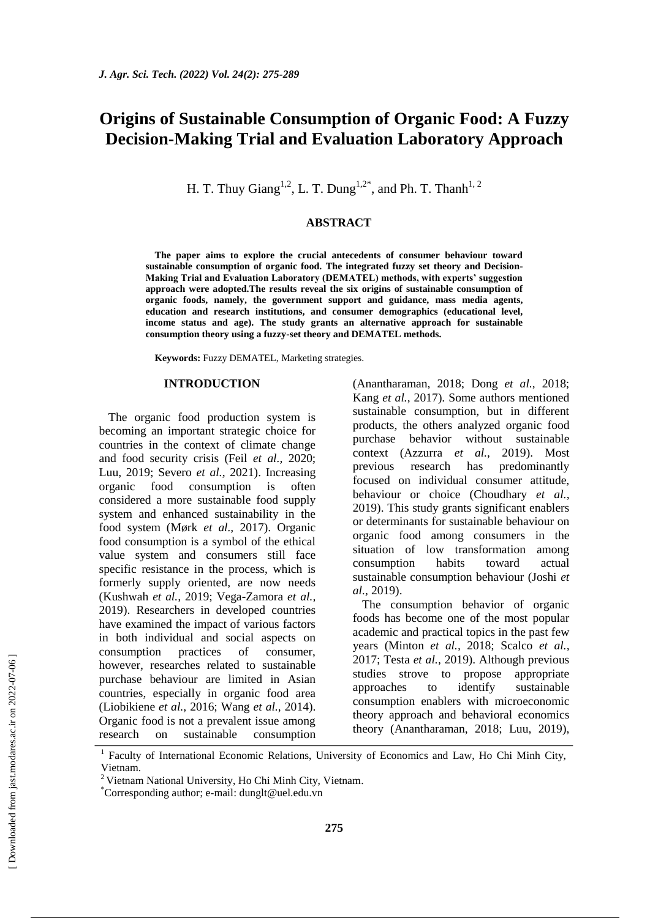# **Origins of Sustainable Consumption of Organic Food: A Fuzzy Decision-Making Trial and Evaluation Laboratory Approach**

H. T. Thuy Giang<sup>1,2</sup>, L. T. Dung<sup>1,2\*</sup>, and Ph. T. Thanh<sup>1,2</sup>

#### **ABSTRACT**

**The paper aims to explore the crucial antecedents of consumer behaviour toward sustainable consumption of organic food. The integrated fuzzy set theory and Decision-Making Trial and Evaluation Laboratory (DEMATEL) methods, with experts' suggestion approach were adopted.The results reveal the six origins of sustainable consumption of organic foods, namely, the government support and guidance, mass media agents, education and research institutions, and consumer demographics (educational level, income status and age). The study grants an alternative approach for sustainable consumption theory using a fuzzy-set theory and DEMATEL methods.**

**Keywords:** Fuzzy DEMATEL, Marketing strategies.

#### **INTRODUCTION**

The organic food production system is becoming an important strategic choice for countries in the context of climate change and food security crisis (Feil *et al.,* 2020; Luu, 2019; Severo *et al.,* 2021). Increasing organic food consumption is often considered a more sustainable food supply system and enhanced sustainability in the food system (Mørk *et al.,* 2017). Organic food consumption is a symbol of the ethical value system and consumers still face specific resistance in the process, which is formerly supply oriented, are now needs (Kushwah *et al.,* 2019; Vega-Zamora *et al.,* 2019). Researchers in developed countries have examined the impact of various factors in both individual and social aspects on consumption practices of consumer, however, researches related to sustainable purchase behaviour are limited in Asian countries, especially in organic food area (Liobikiene *et al.,* 2016; Wang *et al.,* 2014). Organic food is not a prevalent issue among research on sustainable consumption (Anantharaman, 2018; Dong *et al.,* 2018; Kang *et al.,* 2017). Some authors mentioned sustainable consumption, but in different products, the others analyzed organic food purchase behavior without sustainable context (Azzurra *et al.,* 2019). Most previous research has predominantly focused on individual consumer attitude, behaviour or choice (Choudhary *et al.,* 2019). This study grants significant enablers or determinants for sustainable behaviour on organic food among consumers in the situation of low transformation among consumption habits toward actual sustainable consumption behaviour (Joshi *et al.,* 2019).

The consumption behavior of organic foods has become one of the most popular academic and practical topics in the past few years (Minton *et al.,* 2018; Scalco *et al.,* 2017; Testa *et al.,* 2019). Although previous studies strove to propose appropriate approaches to identify sustainable consumption enablers with microeconomic theory approach and behavioral economics theory (Anantharaman, 2018; Luu, 2019),

<sup>&</sup>lt;sup>1</sup> Faculty of International Economic Relations, University of Economics and Law, Ho Chi Minh City, Vietnam.

<sup>&</sup>lt;sup>2</sup> Vietnam National University, Ho Chi Minh City, Vietnam.

<sup>\*</sup>Corresponding author; e-mail: [dunglt@uel.edu.vn](mailto:dunglt@uel.edu.vn)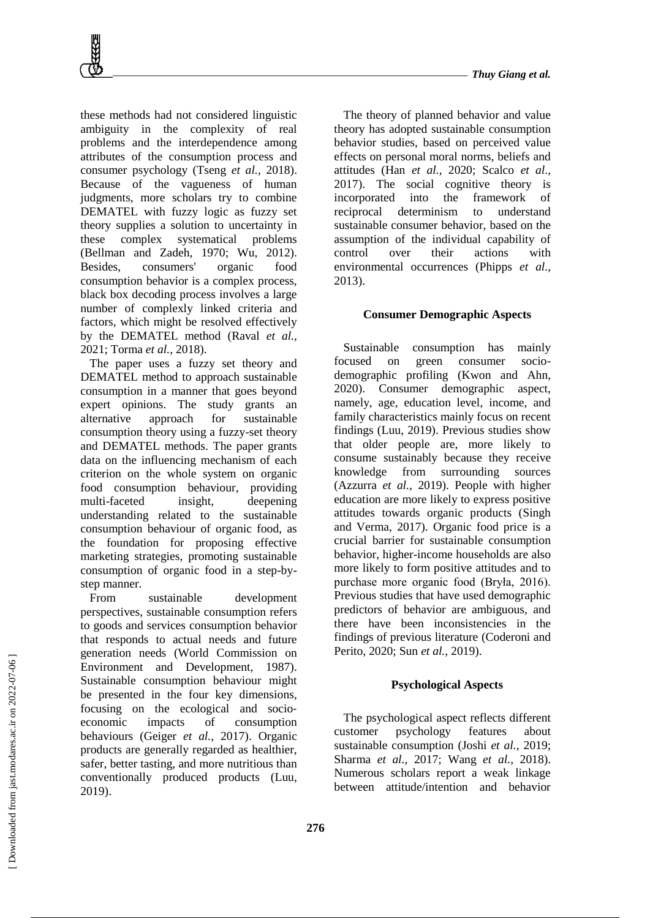

these methods had not considered linguistic ambiguity in the complexity of real problems and the interdependence among attributes of the consumption process and consumer psychology (Tseng *et al.,* 2018). Because of the vagueness of human judgments, more scholars try to combine DEMATEL with fuzzy logic as fuzzy set theory supplies a solution to uncertainty in these complex systematical problems (Bellman and Zadeh, 1970; Wu, 2012). Besides, consumers' organic food consumption behavior is a complex process, black box decoding process involves a large number of complexly linked criteria and factors, which might be resolved effectively by the DEMATEL method (Raval *et al.,* 2021; Torma *et al.,* 2018).

The paper uses a fuzzy set theory and DEMATEL method to approach sustainable consumption in a manner that goes beyond expert opinions. The study grants an alternative approach for sustainable consumption theory using a fuzzy-set theory and DEMATEL methods. The paper grants data on the influencing mechanism of each criterion on the whole system on organic food consumption behaviour, providing multi-faceted insight, deepening understanding related to the sustainable consumption behaviour of organic food, as the foundation for proposing effective marketing strategies, promoting sustainable consumption of organic food in a step-bystep manner.

From sustainable development perspectives, sustainable consumption refers to goods and services consumption behavior that responds to actual needs and future generation needs (World Commission on Environment and Development, 1987). Sustainable consumption behaviour might be presented in the four key dimensions, focusing on the ecological and socio‐ economic impacts of consumption behaviours (Geiger *et al.,* 2017). Organic products are generally regarded as healthier, safer, better tasting, and more nutritious than conventionally produced products (Luu, 2019).

The theory of planned behavior and value theory has adopted sustainable consumption behavior studies, based on perceived value effects on personal moral norms, beliefs and attitudes (Han *et al.,* 2020; Scalco *et al.,* 2017). The social cognitive theory is incorporated into the framework of reciprocal determinism to understand sustainable consumer behavior, based on the assumption of the individual capability of control over their actions with environmental occurrences (Phipps *et al.,* 2013).

## **Consumer Demographic Aspects**

Sustainable consumption has mainly focused on green consumer sociodemographic profiling (Kwon and Ahn, 2020). Consumer demographic aspect, namely, age, education level, income, and family characteristics mainly focus on recent findings (Luu, 2019). Previous studies show that older people are, more likely to consume sustainably because they receive knowledge from surrounding sources (Azzurra *et al.,* 2019). People with higher education are more likely to express positive attitudes towards organic products (Singh and Verma, 2017). Organic food price is a crucial barrier for sustainable consumption behavior, higher-income households are also more likely to form positive attitudes and to purchase more organic food (Bryła, 2016). Previous studies that have used demographic predictors of behavior are ambiguous, and there have been inconsistencies in the findings of previous literature (Coderoni and Perito, 2020; Sun *et al.,* 2019).

### **Psychological Aspects**

The psychological aspect reflects different customer psychology features about sustainable consumption (Joshi *et al.,* 2019; Sharma *et al.,* 2017; Wang *et al.,* 2018). Numerous scholars report a weak linkage between attitude/intention and behavior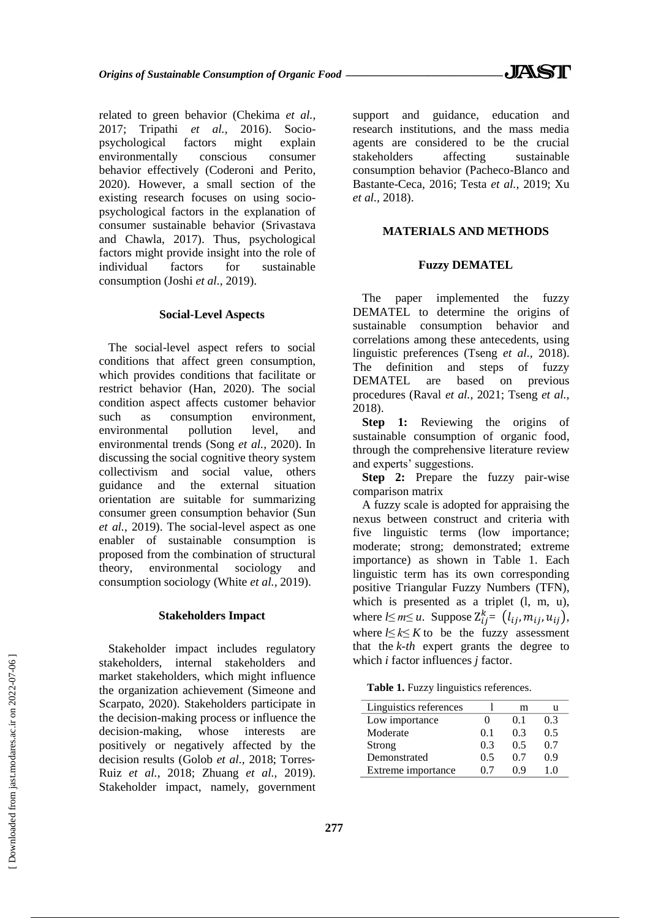related to green behavior (Chekima *et al.,* 2017; Tripathi *et al.,* 2016). Sociopsychological factors might explain environmentally conscious consumer behavior effectively (Coderoni and Perito, 2020). However, a small section of the existing research focuses on using sociopsychological factors in the explanation of consumer sustainable behavior (Srivastava and Chawla, 2017). Thus, psychological factors might provide insight into the role of individual factors for sustainable consumption (Joshi *et al.,* 2019).

#### **Social-Level Aspects**

The social-level aspect refers to social conditions that affect green consumption, which provides conditions that facilitate or restrict behavior (Han, 2020). The social condition aspect affects customer behavior such as consumption environment, environmental pollution level, and environmental trends (Song *et al.,* 2020). In discussing the social cognitive theory system collectivism and social value, others guidance and the external situation orientation are suitable for summarizing consumer green consumption behavior (Sun *et al.,* 2019). The social-level aspect as one enabler of sustainable consumption is proposed from the combination of structural theory, environmental sociology and consumption sociology (White *et al.,* 2019).

#### **Stakeholders Impact**

Stakeholder impact includes regulatory stakeholders, internal stakeholders and market stakeholders, which might influence the organization achievement (Simeone and Scarpato, 2020). Stakeholders participate in the decision-making process or influence the decision-making, whose interests are positively or negatively affected by the decision results (Golob *et al.,* 2018; Torres‐ Ruiz *et al.,* 2018; Zhuang *et al.,* 2019). Stakeholder impact, namely, government support and guidance, education and research institutions, and the mass media agents are considered to be the crucial stakeholders affecting sustainable consumption behavior (Pacheco-Blanco and Bastante-Ceca, 2016; Testa *et al.,* 2019; Xu *et al.,* 2018).

## **MATERIALS AND METHODS**

#### **Fuzzy DEMATEL**

The paper implemented the fuzzy DEMATEL to determine the origins of sustainable consumption behavior and correlations among these antecedents, using linguistic preferences (Tseng *et al.,* 2018). The definition and steps of fuzzy DEMATEL are based on previous procedures (Raval *et al.,* 2021; Tseng *et al.,* 2018).

**Step 1:** Reviewing the origins of sustainable consumption of organic food, through the comprehensive literature review and experts' suggestions.

**Step 2:** Prepare the fuzzy pair-wise comparison matrix

A fuzzy scale is adopted for appraising the nexus between construct and criteria with five linguistic terms (low importance; moderate; strong; demonstrated; extreme importance) as shown in Table 1. Each linguistic term has its own corresponding positive Triangular Fuzzy Numbers (TFN), which is presented as a triplet (l, m, u), where  $l \leq m \leq u$ . Suppose  $Z_{ij}^k = (l_{ij}, m_{ij}, u_{ij})$ , where  *to be the fuzzy assessment* that the *k-th* expert grants the degree to which *i* factor influences *j* factor.

Table 1. Fuzzy linguistics references.

| Linguistics references |     | m               |     |
|------------------------|-----|-----------------|-----|
| Low importance         |     | $^{\prime}$ 0 1 | 0.3 |
| Moderate               | 01  | 03              | 0.5 |
| Strong                 | 0.3 | 05              | 0.7 |
| Demonstrated           | 0.5 | 0.7             | 0 ዓ |
| Extreme importance     | 07  | 09              |     |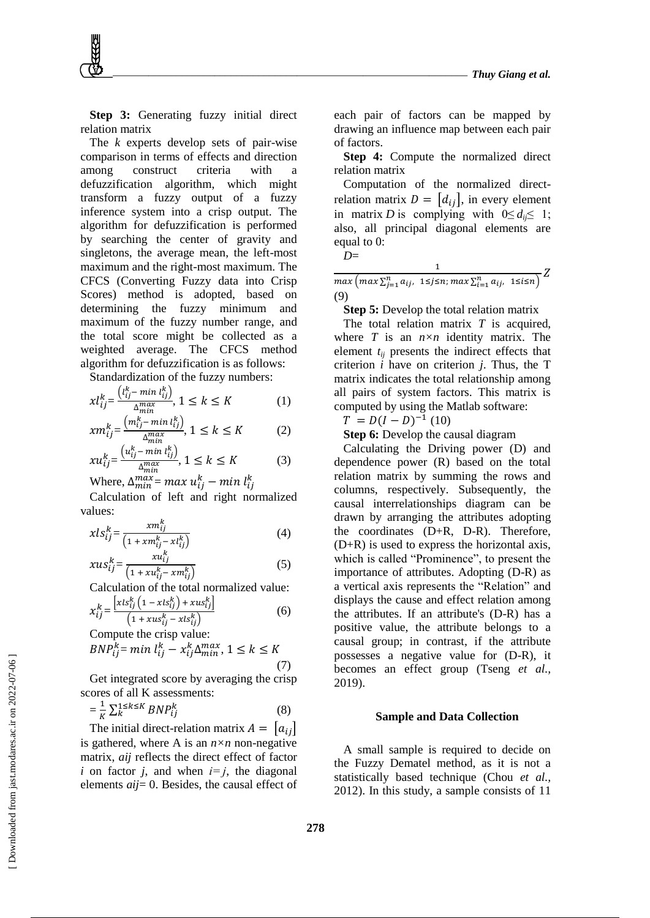**Step 3:** Generating fuzzy initial direct relation matrix

The *k* experts develop sets of pair-wise comparison in terms of effects and direction among construct criteria with a defuzzification algorithm, which might transform a fuzzy output of a fuzzy inference system into a crisp output. The algorithm for defuzzification is performed by searching the center of gravity and singletons, the average mean, the left-most maximum and the right-most maximum. The CFCS (Converting Fuzzy data into Crisp Scores) method is adopted, based on determining the fuzzy minimum and maximum of the fuzzy number range, and the total score might be collected as a weighted average. The CFCS method algorithm for defuzzification is as follows:

Standardization of the fuzzy numbers:

$$
xl_{ij}^k = \frac{(l_{ij}^k - \min l_{ij}^k)}{\Delta_{min}^{\max}}, 1 \le k \le K
$$
 (1)

$$
xm_{ij}^k = \frac{\left(m_{ij}^k - \min l_{ij}^k\right)}{\Delta_{min}^{max}}, 1 \le k \le K \tag{2}
$$

$$
x u_{ij}^k = \frac{\left(u_{ij}^k - \min l_{ij}^k\right)}{\Delta_{\min}^{\max}}, 1 \le k \le K \tag{3}
$$

Where,  $\Delta^{max}_{min}$  =  $max$   $u_{ij}^k$  —  $min$   $l_{ij}^k$ 

Calculation of left and right normalized values:

$$
xls_{ij}^k = \frac{xm_{ij}^k}{\left(1 + xm_{ij}^k - xl_{ij}^k\right)}
$$
(4)

$$
xus_{ij}^k = \frac{xu_{ij}^k}{\left(1 + xu_{ij}^k - xm_{ij}^k\right)}
$$
(5)

Calculation of the total normalized value:  $\Gamma = \frac{1}{2}$ 

$$
x_{ij}^k = \frac{\left[xls_{ij}^k\left(1 - xls_{ij}^k\right) + xus_{ij}^k\right]}{\left(1 + xus_{ij}^k - xls_{ij}^k\right)}
$$
(6)

Compute the crisp value:  $BNP_{ij}^k = min l_{ij}^k - x_{ij}^k \Delta_{min}^{max},$  $(7)$ 

Get integrated score by averaging the crisp scores of all K assessments:

$$
=\frac{1}{K}\sum_{k=1}^{K}\sum_{k=1}^{K}BNP_{ij}^{k}\tag{8}
$$

The initial direct-relation matrix  $A = |a_{ij}|$ is gathered, where A is an  $n \times n$  non-negative matrix, *aij* reflects the direct effect of factor *i* on factor *j*, and when  $i=j$ , the diagonal elements *aij*= 0. Besides, the causal effect of each pair of factors can be mapped by drawing an influence map between each pair of factors.

**Step 4:** Compute the normalized direct relation matrix

Computation of the normalized directrelation matrix  $D = [d_{ij}]$ , in every element in matrix *D* is complying with  $0 \leq d_i \leq 1$ ; also, all principal diagonal elements are equal to 0:

$$
D\!\!=\!
$$

 $\frac{1}{\max\left(\max\sum_{j=1}^{n}a_{ij},1\leq j\leq n;\max\sum_{i=1}^{n}a_{ij},1\leq i\leq n\right)}Z$ (9)

 $\mathbf{1}$ 

**Step 5:** Develop the total relation matrix

The total relation matrix *T* is acquired, where *T* is an *n×n* identity matrix. The element *tij* presents the indirect effects that criterion *i* have on criterion *j*. Thus, the T matrix indicates the total relationship among all pairs of system factors. This matrix is computed by using the Matlab software:

 $T = D(I - D)^{-1} (10)$ 

**Step 6:** Develop the causal diagram

Calculating the Driving power (D) and dependence power (R) based on the total relation matrix by summing the rows and columns, respectively. Subsequently, the causal interrelationships diagram can be drawn by arranging the attributes adopting the coordinates (D+R, D-R). Therefore,  $(D+R)$  is used to express the horizontal axis, which is called "Prominence", to present the importance of attributes. Adopting (D-R) as a vertical axis represents the "Relation" and displays the cause and effect relation among the attributes. If an attribute's (D-R) has a positive value, the attribute belongs to a causal group; in contrast, if the attribute possesses a negative value for (D-R), it becomes an effect group (Tseng *et al.,* 2019).

#### **Sample and Data Collection**

A small sample is required to decide on the Fuzzy Dematel method, as it is not a statistically based technique (Chou *et al.,* 2012). In this study, a sample consists of 11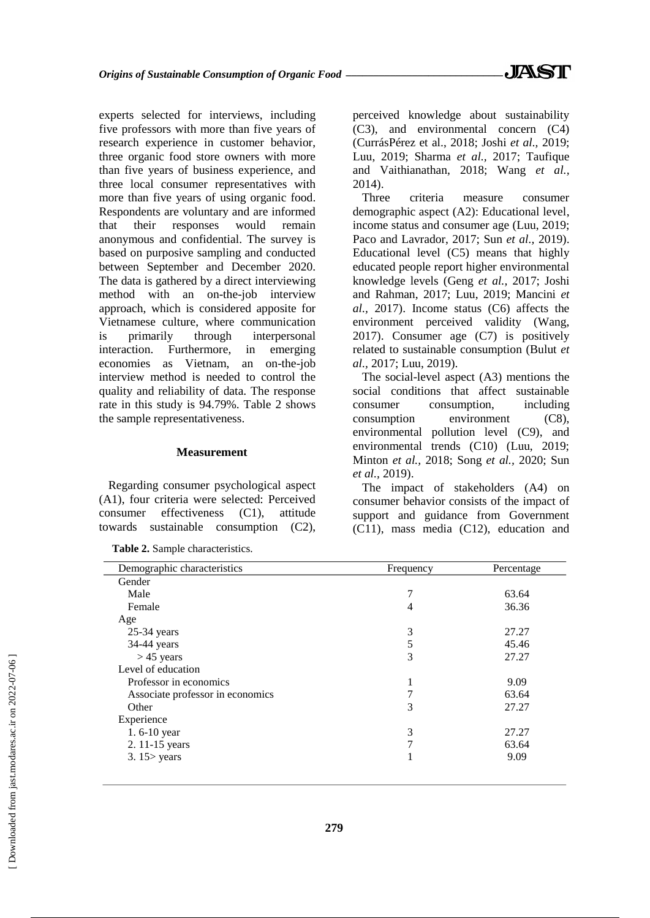experts selected for interviews, including five professors with more than five years of research experience in customer behavior, three organic food store owners with more than five years of business experience, and three local consumer representatives with more than five years of using organic food. Respondents are voluntary and are informed that their responses would remain anonymous and confidential. The survey is based on purposive sampling and conducted between September and December 2020. The data is gathered by a direct interviewing method with an on-the-job interview approach, which is considered apposite for Vietnamese culture, where communication is primarily through interpersonal interaction. Furthermore, in emerging economies as Vietnam, an on-the-job interview method is needed to control the quality and reliability of data. The response rate in this study is 94.79%. Table 2 shows the sample representativeness.

#### **Measurement**

Regarding consumer psychological aspect (A1), four criteria were selected: Perceived consumer effectiveness (C1), attitude towards sustainable consumption (C2),

**Table 2.** Sample characteristics.

perceived knowledge about sustainability (C3), and environmental concern (C4) (CurrásPérez et al., 2018; Joshi *et al.,* 2019; Luu, 2019; Sharma *et al.,* 2017; Taufique and Vaithianathan, 2018; Wang *et al.,*  2014).

Three criteria measure consumer demographic aspect (A2): Educational level, income status and consumer age (Luu, 2019; Paco and Lavrador, 2017; Sun *et al.,* 2019). Educational level (C5) means that highly educated people report higher environmental knowledge levels (Geng *et al.,* 2017; Joshi and Rahman, 2017; Luu, 2019; Mancini *et al.,* 2017). Income status (C6) affects the environment perceived validity (Wang, 2017). Consumer age (C7) is positively related to sustainable consumption (Bulut *et al.,* 2017; Luu, 2019).

The social-level aspect (A3) mentions the social conditions that affect sustainable consumer consumption, including consumption environment (C8), environmental pollution level (C9), and environmental trends (C10) (Luu, 2019; Minton *et al.,* 2018; Song *et al.,* 2020; Sun *et al.,* 2019).

The impact of stakeholders (A4) on consumer behavior consists of the impact of support and guidance from Government (C11), mass media (C12), education and

| Demographic characteristics      | Frequency | Percentage |
|----------------------------------|-----------|------------|
| Gender                           |           |            |
| Male                             | 7         | 63.64      |
| Female                           | 4         | 36.36      |
| Age                              |           |            |
| $25-34$ years                    | 3         | 27.27      |
| 34-44 years                      | 5         | 45.46      |
| $>$ 45 years                     | 3         | 27.27      |
| Level of education               |           |            |
| Professor in economics           |           | 9.09       |
| Associate professor in economics |           | 63.64      |
| Other                            | 3         | 27.27      |
| Experience                       |           |            |
| 1.6-10 year                      | 3         | 27.27      |
| 2. 11-15 years                   |           | 63.64      |
| $3.15$ years                     |           | 9.09       |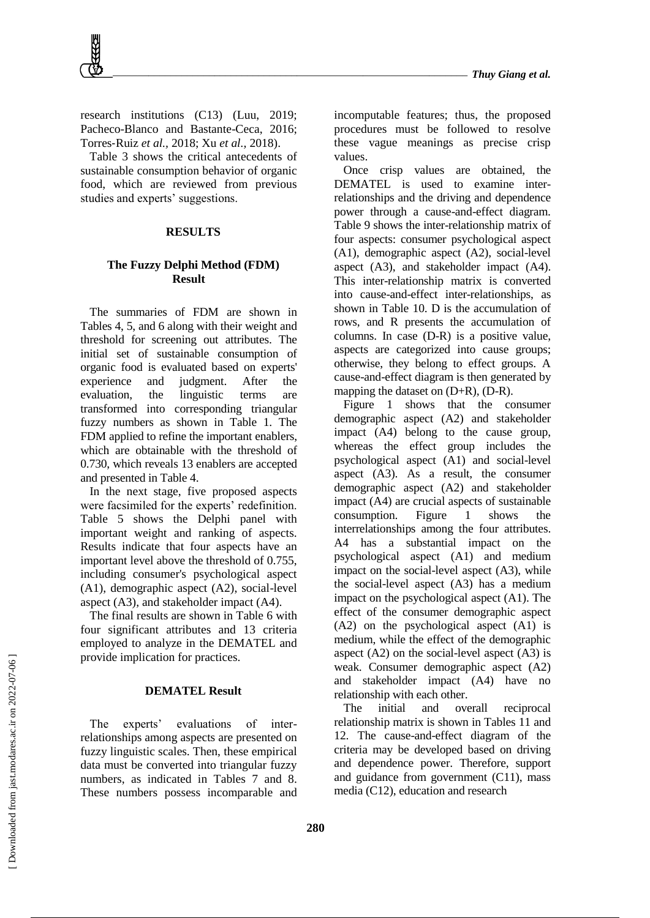research institutions (C13) (Luu, 2019; Pacheco-Blanco and Bastante-Ceca, 2016; Torres‐Ruiz *et al.,* 2018; Xu *et al.,* 2018).

Table 3 shows the critical antecedents of sustainable consumption behavior of organic food, which are reviewed from previous studies and experts' suggestions.

## **RESULTS**

## **The Fuzzy Delphi Method (FDM) Result**

The summaries of FDM are shown in Tables 4, 5, and 6 along with their weight and threshold for screening out attributes. The initial set of sustainable consumption of organic food is evaluated based on experts' experience and judgment. After the evaluation, the linguistic terms are transformed into corresponding triangular fuzzy numbers as shown in Table 1. The FDM applied to refine the important enablers, which are obtainable with the threshold of 0.730, which reveals 13 enablers are accepted and presented in Table 4.

In the next stage, five proposed aspects were facsimiled for the experts' redefinition. Table 5 shows the Delphi panel with important weight and ranking of aspects. Results indicate that four aspects have an important level above the threshold of 0.755, including consumer's psychological aspect (A1), demographic aspect (A2), social-level aspect (A3), and stakeholder impact (A4).

The final results are shown in Table 6 with four significant attributes and 13 criteria employed to analyze in the DEMATEL and provide implication for practices.

#### **DEMATEL Result**

The experts' evaluations of interrelationships among aspects are presented on fuzzy linguistic scales. Then, these empirical data must be converted into triangular fuzzy numbers, as indicated in Tables 7 and 8. These numbers possess incomparable and incomputable features; thus, the proposed procedures must be followed to resolve these vague meanings as precise crisp values.

Once crisp values are obtained, the DEMATEL is used to examine interrelationships and the driving and dependence power through a cause-and-effect diagram. Table 9 shows the inter-relationship matrix of four aspects: consumer psychological aspect (A1), demographic aspect (A2), social-level aspect (A3), and stakeholder impact (A4). This inter-relationship matrix is converted into cause-and-effect inter-relationships, as shown in Table 10. D is the accumulation of rows, and R presents the accumulation of columns. In case (D-R) is a positive value, aspects are categorized into cause groups; otherwise, they belong to effect groups. A cause-and-effect diagram is then generated by mapping the dataset on (D+R), (D-R).

Figure 1 shows that the consumer demographic aspect (A2) and stakeholder impact (A4) belong to the cause group, whereas the effect group includes the psychological aspect (A1) and social-level aspect (A3). As a result, the consumer demographic aspect (A2) and stakeholder impact (A4) are crucial aspects of sustainable consumption. Figure 1 shows the interrelationships among the four attributes. A4 has a substantial impact on the psychological aspect (A1) and medium impact on the social-level aspect (A3), while the social-level aspect (A3) has a medium impact on the psychological aspect (A1). The effect of the consumer demographic aspect (A2) on the psychological aspect (A1) is medium, while the effect of the demographic aspect (A2) on the social-level aspect (A3) is weak. Consumer demographic aspect (A2) and stakeholder impact (A4) have no relationship with each other.

The initial and overall reciprocal relationship matrix is shown in Tables 11 and 12. The cause-and-effect diagram of the criteria may be developed based on driving and dependence power. Therefore, support and guidance from government (C11), mass media (C12), education and research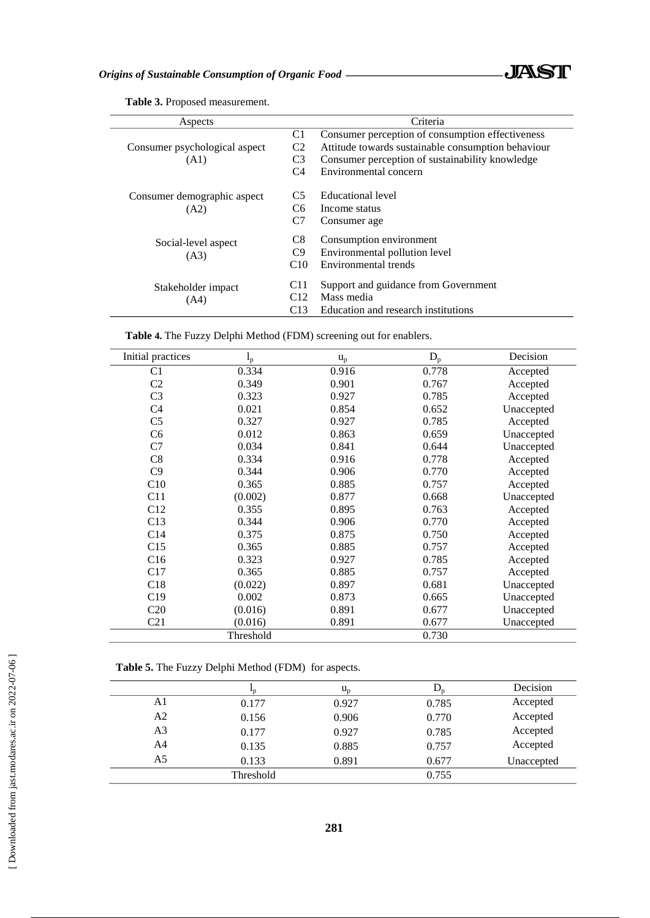

| Aspects                               |                                              | Criteria                                                                                                                                                                           |
|---------------------------------------|----------------------------------------------|------------------------------------------------------------------------------------------------------------------------------------------------------------------------------------|
| Consumer psychological aspect<br>(A1) | C1<br>C <sub>2</sub><br>C <sub>3</sub><br>C4 | Consumer perception of consumption effectiveness<br>Attitude towards sustainable consumption behaviour<br>Consumer perception of sustainability knowledge<br>Environmental concern |
| Consumer demographic aspect<br>(A2)   | C <sub>5</sub><br>C6.<br>C7                  | Educational level<br>Income status<br>Consumer age                                                                                                                                 |
| Social-level aspect<br>(A3)           | C <sub>8</sub><br>C9<br>C10                  | Consumption environment<br>Environmental pollution level<br>Environmental trends                                                                                                   |
| Stakeholder impact<br>(A4)            | C <sub>11</sub><br>C <sub>12</sub><br>C13    | Support and guidance from Government<br>Mass media<br>Education and research institutions                                                                                          |

**Table 3.** Proposed measurement.

 $\overline{a}$ 

**Table 4.** The Fuzzy Delphi Method (FDM) screening out for enablers.

| Initial practices | $I_p$     | $u_p$ | $D_p$ | Decision   |
|-------------------|-----------|-------|-------|------------|
| C <sub>1</sub>    | 0.334     | 0.916 | 0.778 | Accepted   |
| C <sub>2</sub>    | 0.349     | 0.901 | 0.767 | Accepted   |
| C <sub>3</sub>    | 0.323     | 0.927 | 0.785 | Accepted   |
| C <sub>4</sub>    | 0.021     | 0.854 | 0.652 | Unaccepted |
| C <sub>5</sub>    | 0.327     | 0.927 | 0.785 | Accepted   |
| C6                | 0.012     | 0.863 | 0.659 | Unaccepted |
| C7                | 0.034     | 0.841 | 0.644 | Unaccepted |
| C8                | 0.334     | 0.916 | 0.778 | Accepted   |
| C9                | 0.344     | 0.906 | 0.770 | Accepted   |
| C10               | 0.365     | 0.885 | 0.757 | Accepted   |
| C11               | (0.002)   | 0.877 | 0.668 | Unaccepted |
| C12               | 0.355     | 0.895 | 0.763 | Accepted   |
| C13               | 0.344     | 0.906 | 0.770 | Accepted   |
| C14               | 0.375     | 0.875 | 0.750 | Accepted   |
| C15               | 0.365     | 0.885 | 0.757 | Accepted   |
| C16               | 0.323     | 0.927 | 0.785 | Accepted   |
| C17               | 0.365     | 0.885 | 0.757 | Accepted   |
| C18               | (0.022)   | 0.897 | 0.681 | Unaccepted |
| C19               | 0.002     | 0.873 | 0.665 | Unaccepted |
| C <sub>20</sub>   | (0.016)   | 0.891 | 0.677 | Unaccepted |
| C <sub>21</sub>   | (0.016)   | 0.891 | 0.677 | Unaccepted |
|                   | Threshold |       | 0.730 |            |

**Table 5.** The Fuzzy Delphi Method (FDM) for aspects.

|    |           | $u_{p}$ |       | Decision   |
|----|-----------|---------|-------|------------|
| A1 | 0.177     | 0.927   | 0.785 | Accepted   |
| A2 | 0.156     | 0.906   | 0.770 | Accepted   |
| A3 | 0.177     | 0.927   | 0.785 | Accepted   |
| A4 | 0.135     | 0.885   | 0.757 | Accepted   |
| A5 | 0.133     | 0.891   | 0.677 | Unaccepted |
|    | Threshold |         | 0.755 |            |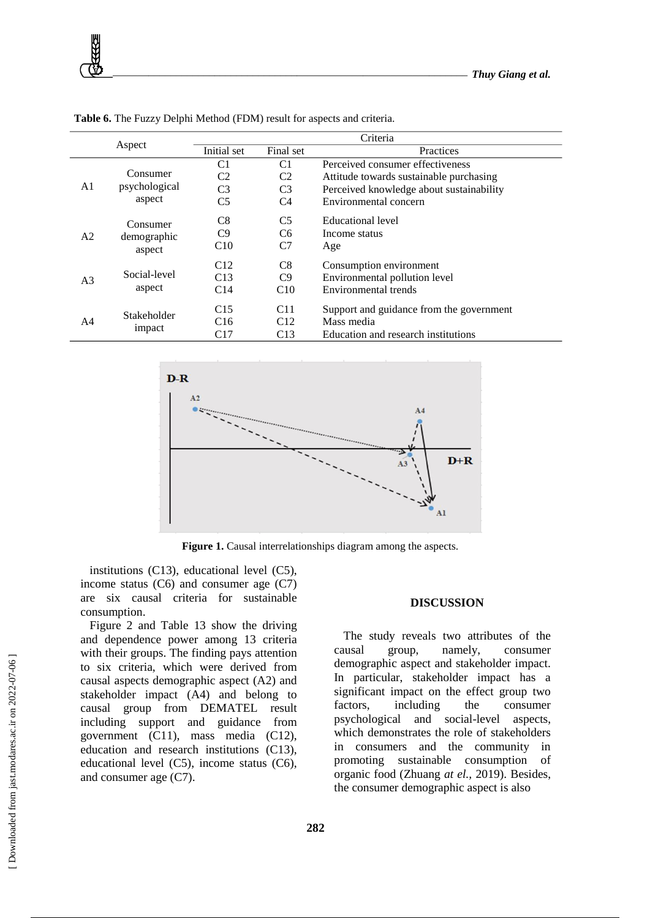|                |               |                |                 | Criteria                                 |
|----------------|---------------|----------------|-----------------|------------------------------------------|
|                | Aspect        | Initial set    | Final set       | Practices                                |
|                |               | C <sub>1</sub> | C <sub>1</sub>  | Perceived consumer effectiveness         |
|                | Consumer      | C2             | C <sub>2</sub>  | Attitude towards sustainable purchasing  |
| A1             | psychological | C <sub>3</sub> | C <sub>3</sub>  | Perceived knowledge about sustainability |
|                | aspect        | C <sub>5</sub> | C4              | Environmental concern                    |
|                | Consumer      | C8             | C <sub>5</sub>  | Educational level                        |
| A2             | demographic   | C <sub>9</sub> | C <sub>6</sub>  | Income status                            |
|                | aspect        | C10            | C7              | Age                                      |
|                |               | C12            | C8              | Consumption environment                  |
| A <sub>3</sub> | Social-level  | C13            | C9              | Environmental pollution level            |
|                | aspect        | C14            | C10             | Environmental trends                     |
|                | Stakeholder   | C15            | C <sub>11</sub> | Support and guidance from the government |
| A4             |               | C16            | C12             | Mass media                               |
|                | impact        | C17            | C13             | Education and research institutions      |

**Table 6.** The Fuzzy Delphi Method (FDM) result for aspects and criteria.



**Figure 1.** Causal interrelationships diagram among the aspects.

institutions (C13), educational level (C5), income status  $(C6)$  and consumer age  $(C7)$ are six causal criteria for sustainable consumption.

Figure 2 and Table 13 show the driving and dependence power among 13 criteria with their groups. The finding pays attention to six criteria, which were derived from causal aspects demographic aspect (A2) and stakeholder impact (A4) and belong to causal group from DEMATEL result including support and guidance from government (C11), mass media (C12), education and research institutions (C13), educational level (C5), income status (C6), and consumer age (C7).

## **DISCUSSION**

The study reveals two attributes of the causal group, namely, consumer demographic aspect and stakeholder impact. In particular, stakeholder impact has a significant impact on the effect group two factors, including the consumer psychological and social-level aspects, which demonstrates the role of stakeholders in consumers and the community in promoting sustainable consumption of organic food (Zhuang *at el.,* 2019). Besides, the consumer demographic aspect is also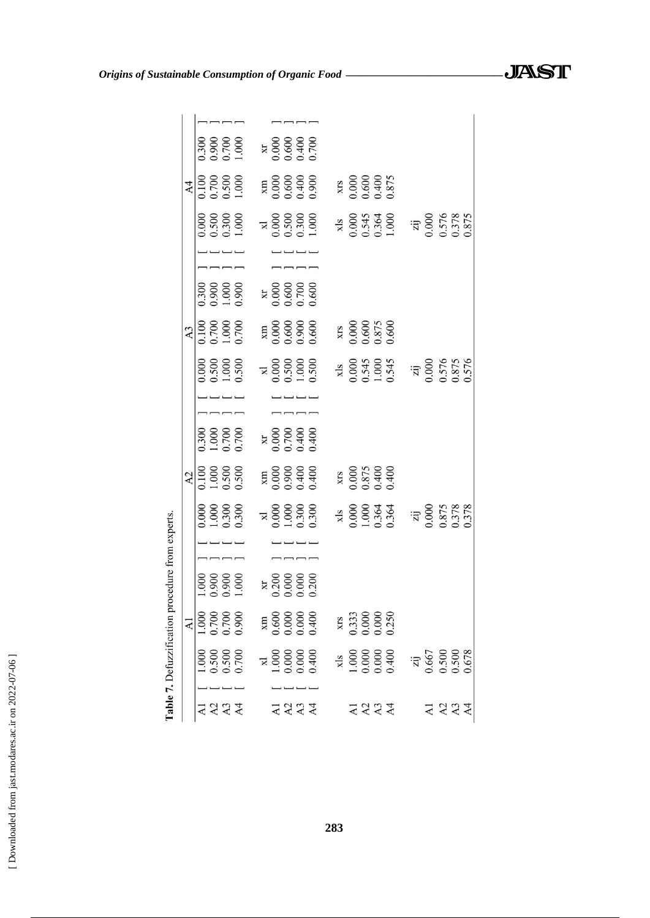| erts.                                                                                                          |                                                                              |                                  |  |                                  |                                |                                          |  |                                         |                                         |                                                                 |
|----------------------------------------------------------------------------------------------------------------|------------------------------------------------------------------------------|----------------------------------|--|----------------------------------|--------------------------------|------------------------------------------|--|-----------------------------------------|-----------------------------------------|-----------------------------------------------------------------|
|                                                                                                                | A <sub>2</sub>                                                               |                                  |  |                                  | A <sub>3</sub>                 |                                          |  |                                         | $\mathsf{A}4$                           |                                                                 |
|                                                                                                                |                                                                              |                                  |  |                                  |                                |                                          |  |                                         |                                         |                                                                 |
|                                                                                                                |                                                                              |                                  |  |                                  |                                |                                          |  |                                         |                                         |                                                                 |
|                                                                                                                |                                                                              |                                  |  |                                  |                                |                                          |  |                                         |                                         |                                                                 |
| $\begin{array}{c} 0.000 \\ 1.000 \\ 0.300 \\ 0.300 \end{array}$                                                | $\begin{array}{c} 0.100 \\ 1.000 \\ 0.500 \\ 0.500 \end{array}$              | 0.300<br>0.700<br>0.700<br>0.700 |  | 0.000<br>0.500<br>1.000<br>1.500 | 001100<br>007.000<br>0.7000    | $0.300$<br>$0.900$<br>$0.000$<br>$0.900$ |  | 0.000<br>0.500<br>0.300<br>1.000        | 0.100<br>0.700<br>0.500<br>1.000        | 0.300<br>0.700<br>0.700<br>1.000                                |
|                                                                                                                |                                                                              |                                  |  |                                  |                                |                                          |  |                                         |                                         |                                                                 |
|                                                                                                                |                                                                              |                                  |  |                                  |                                |                                          |  |                                         |                                         |                                                                 |
|                                                                                                                |                                                                              |                                  |  |                                  |                                |                                          |  |                                         |                                         |                                                                 |
|                                                                                                                |                                                                              |                                  |  |                                  |                                |                                          |  |                                         |                                         |                                                                 |
|                                                                                                                |                                                                              |                                  |  |                                  |                                |                                          |  |                                         |                                         | $\begin{array}{c} 10000 \\ 0.600 \\ 0.400 \\ 0.700 \end{array}$ |
| $\begin{array}{c} \n 74 \\  \times 0.000 \\  \hline\n 1.000 \\  \times 0.300 \\  \hline\n 0.300\n \end{array}$ | $\begin{array}{c} \times \text{m} \\ 0.000 \\ 0.400 \\ 0.400 \\ \end{array}$ |                                  |  |                                  |                                |                                          |  | $\frac{1}{2}$<br>000.000<br>000.000     | XIII<br>0.000.000<br>0.400<br>0.900.00  |                                                                 |
|                                                                                                                |                                                                              |                                  |  |                                  |                                |                                          |  |                                         |                                         |                                                                 |
|                                                                                                                |                                                                              |                                  |  |                                  |                                |                                          |  |                                         |                                         |                                                                 |
|                                                                                                                | XIS<br>0.000<br>0.875<br>0.400<br>0.400                                      |                                  |  |                                  | XIS<br>0.000<br>0.600<br>0.875 |                                          |  |                                         | XIS<br>0.000<br>0.600<br>0.400<br>0.875 |                                                                 |
|                                                                                                                |                                                                              |                                  |  |                                  |                                |                                          |  |                                         |                                         |                                                                 |
|                                                                                                                |                                                                              |                                  |  |                                  |                                |                                          |  |                                         |                                         |                                                                 |
| xls<br>0.000<br>1.000<br>0.364<br>0.364                                                                        |                                                                              |                                  |  | xls<br>0.000<br>0.545<br>1.000   |                                |                                          |  | xls<br>0.000<br>0.545<br>0.364          |                                         |                                                                 |
|                                                                                                                |                                                                              |                                  |  |                                  |                                |                                          |  |                                         |                                         |                                                                 |
|                                                                                                                |                                                                              |                                  |  |                                  |                                |                                          |  |                                         |                                         |                                                                 |
| $\frac{7}{20}$<br>$\frac{0.000}{0.875}$<br>$\frac{0.378}{0.378}$                                               |                                                                              |                                  |  | zij<br>0.000<br>0.576<br>0.875   |                                |                                          |  | zij<br>0.000<br>0.576<br>0.378<br>0.875 |                                         |                                                                 |
|                                                                                                                |                                                                              |                                  |  |                                  |                                |                                          |  |                                         |                                         |                                                                 |
|                                                                                                                |                                                                              |                                  |  |                                  |                                |                                          |  |                                         |                                         |                                                                 |
|                                                                                                                |                                                                              |                                  |  |                                  |                                |                                          |  |                                         |                                         |                                                                 |

 $\overline{\phantom{iiiiiiiiiiiiiii}}$ 

 $\begin{array}{c} \tt{MB} \\ 0.600 \\ 0.000 \\ 0.000 \\ 0.000 \end{array}$ 

 $\begin{array}{c} \n 71.000 \\
 1.000 \\
 0.000 \\
 0.000 \\
 0.400\n \end{array}$ 

 $\frac{1}{2}$ 4224

 $- - - -$ 

Table 7. Defuzzification procedure from expe

 $\mathbf A1$ 

 $\overline{\phantom{a}}$ 

 $\frac{1000}{10000}$ 

 $\frac{1000}{1.500}$ 

2334

xrs<br>0.333<br>0.000<br>0.000

2224

4234

*Origins of Sustainable Consumption of Organic Food \_\_\_\_\_\_\_\_\_\_\_\_\_\_\_\_\_\_\_\_\_\_\_\_\_\_\_\_\_*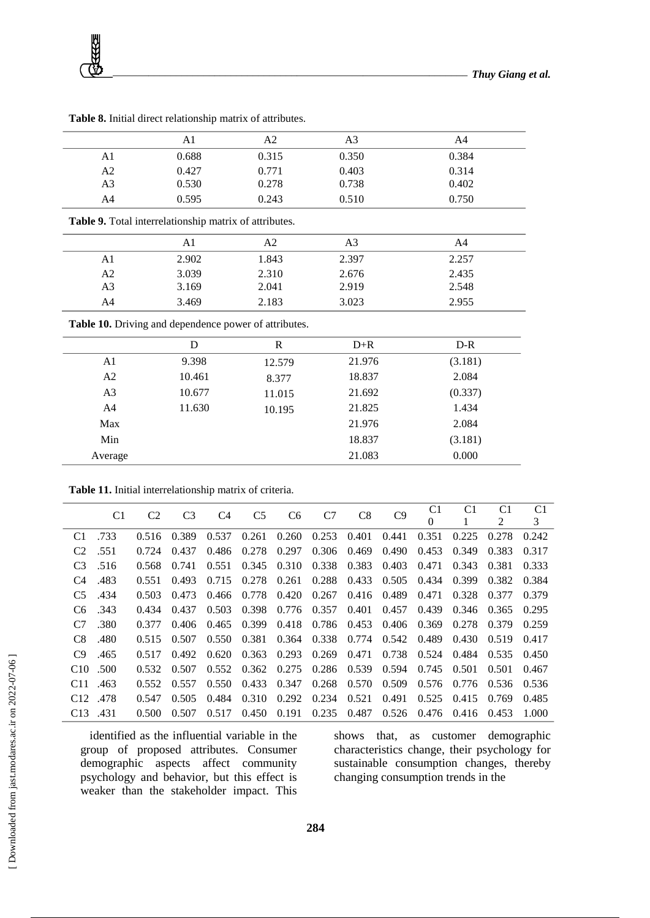

|                | A1    | A2    | A3    | A4    |
|----------------|-------|-------|-------|-------|
| A1             | 0.688 | 0.315 | 0.350 | 0.384 |
| A2             | 0.427 | 0.771 | 0.403 | 0.314 |
| A <sub>3</sub> | 0.530 | 0.278 | 0.738 | 0.402 |
| A4             | 0.595 | 0.243 | 0.510 | 0.750 |

**Table 8.** Initial direct relationship matrix of attributes.

**Table 9.** Total interrelationship matrix of attributes.

|                | $\overline{\phantom{a}}$ |       |       |       |  |
|----------------|--------------------------|-------|-------|-------|--|
|                | A1                       | A2    | A3    | A4    |  |
| A1             | 2.902                    | 1.843 | 2.397 | 2.257 |  |
| A2             | 3.039                    | 2.310 | 2.676 | 2.435 |  |
| A <sub>3</sub> | 3.169                    | 2.041 | 2.919 | 2.548 |  |
| A4             | 3.469                    | 2.183 | 3.023 | 2.955 |  |

**Table 10.** Driving and dependence power of attributes.

|                | D      | R      | $D+R$  | $D-R$   |
|----------------|--------|--------|--------|---------|
| A <sub>1</sub> | 9.398  | 12.579 | 21.976 | (3.181) |
| A <sub>2</sub> | 10.461 | 8.377  | 18.837 | 2.084   |
| A <sub>3</sub> | 10.677 | 11.015 | 21.692 | (0.337) |
| A <sub>4</sub> | 11.630 | 10.195 | 21.825 | 1.434   |
| Max            |        |        | 21.976 | 2.084   |
| Min            |        |        | 18.837 | (3.181) |
| Average        |        |        | 21.083 | 0.000   |

**Table 11.** Initial interrelationship matrix of criteria.

| C <sub>1</sub>         | C <sub>2</sub> | C <sub>3</sub> | C4    | C <sub>5</sub> | C <sub>6</sub> | C7    | C8    | C9    | C1       | C <sub>1</sub> | C <sub>1</sub> | C <sub>1</sub> |
|------------------------|----------------|----------------|-------|----------------|----------------|-------|-------|-------|----------|----------------|----------------|----------------|
|                        |                |                |       |                |                |       |       |       | $\Omega$ |                | 2              | 3              |
| .733<br>C <sub>1</sub> | 0.516          | 0.389          | 0.537 | 0.261          | 0.260          | 0.253 | 0.401 | 0.441 | 0.351    | 0.225          | 0.278          | 0.242          |
| .551<br>C <sub>2</sub> | 0.724          | 0.437          | 0.486 | 0.278          | 0.297          | 0.306 | 0.469 | 0.490 | 0.453    | 0.349          | 0.383          | 0.317          |
| C <sub>3</sub><br>.516 | 0.568          | 0.741          | 0.551 | 0.345          | 0.310          | 0.338 | 0.383 | 0.403 | 0.471    | 0.343          | 0.381          | 0.333          |
| .483<br>C <sub>4</sub> | 0.551          | 0.493          | 0.715 | 0.278          | 0.261          | 0.288 | 0.433 | 0.505 | 0.434    | 0.399          | 0.382          | 0.384          |
| C <sub>5</sub><br>.434 | 0.503          | 0.473          | 0.466 | 0.778          | 0.420          | 0.267 | 0.416 | 0.489 | 0.471    | 0.328          | 0.377          | 0.379          |
| .343<br>C <sub>6</sub> | 0.434          | 0.437          | 0.503 | 0.398          | 0.776          | 0.357 | 0.401 | 0.457 | 0.439    | 0.346          | 0.365          | 0.295          |
| C <sub>7</sub><br>.380 | 0.377          | 0.406          | 0.465 | 0.399          | 0.418          | 0.786 | 0.453 | 0.406 | 0.369    | 0.278          | 0.379          | 0.259          |
| .480<br>C <sub>8</sub> | 0.515          | 0.507          | 0.550 | 0.381          | 0.364          | 0.338 | 0.774 | 0.542 | 0.489    | 0.430          | 0.519          | 0.417          |
| C9<br>.465             | 0.517          | 0.492          | 0.620 | 0.363          | 0.293          | 0.269 | 0.471 | 0.738 | 0.524    | 0.484          | 0.535          | 0.450          |
| $C10$ .500             | 0.532          | 0.507          | 0.552 | 0.362          | 0.275          | 0.286 | 0.539 | 0.594 | 0.745    | 0.501          | 0.501          | 0.467          |
| C <sub>11</sub><br>463 | 0.552          | 0.557          | 0.550 | 0.433          | 0.347          | 0.268 | 0.570 | 0.509 | 0.576    | 0.776          | 0.536          | 0.536          |
| .478<br>C12            | 0.547          | 0.505          | 0.484 | 0.310          | 0.292          | 0.234 | 0.521 | 0.491 | 0.525    | 0.415          | 0.769          | 0.485          |
| $C13$ \ 431            | 0.500          | 0.507          | 0.517 | 0.450          | 0.191          | 0.235 | 0.487 | 0.526 | 0.476    | 0.416          | 0.453          | 1.000          |

identified as the influential variable in the group of proposed attributes. Consumer demographic aspects affect community psychology and behavior, but this effect is weaker than the stakeholder impact. This shows that, as customer demographic characteristics change, their psychology for sustainable consumption changes, thereby changing consumption trends in the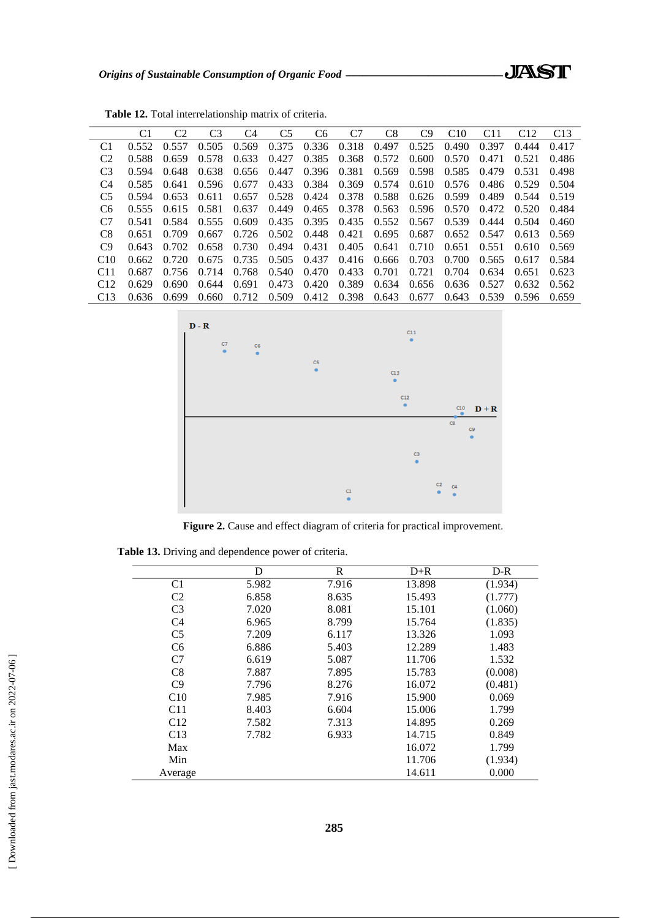|                 | C1    | C <sub>2</sub> | C <sub>3</sub> | C4    | C <sub>5</sub> | C6    | C7    | C8    | C9    | C10   | C11   | C12   | C <sub>13</sub> |
|-----------------|-------|----------------|----------------|-------|----------------|-------|-------|-------|-------|-------|-------|-------|-----------------|
| C1              | 0.552 | 0.557          | 0.505          | 0.569 | 0.375          | 0.336 | 0.318 | 0.497 | 0.525 | 0.490 | 0.397 | 0.444 | 0.417           |
| C <sub>2</sub>  | 0.588 | 0.659          | 0.578          | 0.633 | 0.427          | 0.385 | 0.368 | 0.572 | 0.600 | 0.570 | 0.471 | 0.521 | 0.486           |
| C <sub>3</sub>  | 0.594 | 0.648          | 0.638          | 0.656 | 0.447          | 0.396 | 0.381 | 0.569 | 0.598 | 0.585 | 0.479 | 0.531 | 0.498           |
| C4              | 0.585 | 0.641          | 0.596          | 0.677 | 0.433          | 0.384 | 0.369 | 0.574 | 0.610 | 0.576 | 0.486 | 0.529 | 0.504           |
| C5              | 0.594 | 0.653          | 0.611          | 0.657 | 0.528          | 0.424 | 0.378 | 0.588 | 0.626 | 0.599 | 0.489 | 0.544 | 0.519           |
| C6              | 0.555 | 0.615          | 0.581          | 0.637 | 0.449          | 0.465 | 0.378 | 0.563 | 0.596 | 0.570 | 0.472 | 0.520 | 0.484           |
| C7              | 0.541 | 0.584          | 0.555          | 0.609 | 0.435          | 0.395 | 0.435 | 0.552 | 0.567 | 0.539 | 0.444 | 0.504 | 0.460           |
| C8              | 0.651 | 0.709          | 0.667          | 0.726 | 0.502          | 0.448 | 0.421 | 0.695 | 0.687 | 0.652 | 0.547 | 0.613 | 0.569           |
| C9              | 0.643 | 0.702          | 0.658          | 0.730 | 0.494          | 0.431 | 0.405 | 0.641 | 0.710 | 0.651 | 0.551 | 0.610 | 0.569           |
| C10             | 0.662 | 0.720          | 0.675          | 0.735 | 0.505          | 0.437 | 0.416 | 0.666 | 0.703 | 0.700 | 0.565 | 0.617 | 0.584           |
| C <sub>11</sub> | 0.687 | 0.756          | 0.714          | 0.768 | 0.540          | 0.470 | 0.433 | 0.701 | 0.721 | 0.704 | 0.634 | 0.651 | 0.623           |
| C12             | 0.629 | 0.690          | 0.644          | 0.691 | 0.473          | 0.420 | 0.389 | 0.634 | 0.656 | 0.636 | 0.527 | 0.632 | 0.562           |
| C <sub>13</sub> | 0.636 | 0.699          | 0.660          | 0.712 | 0.509          | 0.412 | 0.398 | 0.643 | 0.677 | 0.643 | 0.539 | 0.596 | 0.659           |

**Table 12.** Total interrelationship matrix of criteria.



**Figure 2.** Cause and effect diagram of criteria for practical improvement.

**Table 13.** Driving and dependence power of criteria.

|                | D     | R     | $D+R$  | $D-R$   |
|----------------|-------|-------|--------|---------|
| C <sub>1</sub> | 5.982 | 7.916 | 13.898 | (1.934) |
| C <sub>2</sub> | 6.858 | 8.635 | 15.493 | (1.777) |
| C <sub>3</sub> | 7.020 | 8.081 | 15.101 | (1.060) |
| C <sub>4</sub> | 6.965 | 8.799 | 15.764 | (1.835) |
| C <sub>5</sub> | 7.209 | 6.117 | 13.326 | 1.093   |
| C <sub>6</sub> | 6.886 | 5.403 | 12.289 | 1.483   |
| C7             | 6.619 | 5.087 | 11.706 | 1.532   |
| C8             | 7.887 | 7.895 | 15.783 | (0.008) |
| C9             | 7.796 | 8.276 | 16.072 | (0.481) |
| C10            | 7.985 | 7.916 | 15.900 | 0.069   |
| C11            | 8.403 | 6.604 | 15.006 | 1.799   |
| C12            | 7.582 | 7.313 | 14.895 | 0.269   |
| C13            | 7.782 | 6.933 | 14.715 | 0.849   |
| Max            |       |       | 16.072 | 1.799   |
| Min            |       |       | 11.706 | (1.934) |
| Average        |       |       | 14.611 | 0.000   |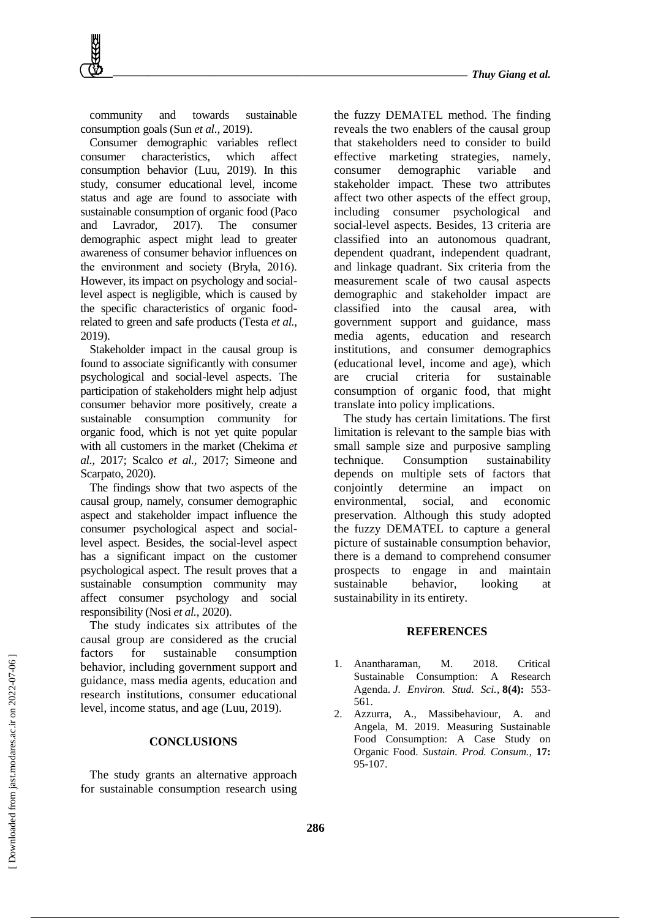community and towards sustainable consumption goals (Sun *et al.,* 2019).

Consumer demographic variables reflect consumer characteristics, which affect consumption behavior (Luu, 2019). In this study, consumer educational level, income status and age are found to associate with sustainable consumption of organic food (Paco and Lavrador, 2017). The consumer demographic aspect might lead to greater awareness of consumer behavior influences on the environment and society (Bryła, 2016). However, its impact on psychology and sociallevel aspect is negligible, which is caused by the specific characteristics of organic foodrelated to green and safe products (Testa *et al.,* 2019).

Stakeholder impact in the causal group is found to associate significantly with consumer psychological and social-level aspects. The participation of stakeholders might help adjust consumer behavior more positively, create a sustainable consumption community for organic food, which is not yet quite popular with all customers in the market (Chekima *et al.,* 2017; Scalco *et al.,* 2017; Simeone and Scarpato, 2020).

The findings show that two aspects of the causal group, namely, consumer demographic aspect and stakeholder impact influence the consumer psychological aspect and sociallevel aspect. Besides, the social-level aspect has a significant impact on the customer psychological aspect. The result proves that a sustainable consumption community may affect consumer psychology and social responsibility (Nosi *et al.,* 2020).

The study indicates six attributes of the causal group are considered as the crucial factors for sustainable consumption behavior, including government support and guidance, mass media agents, education and research institutions, consumer educational level, income status, and age (Luu, 2019).

## **CONCLUSIONS**

The study grants an alternative approach for sustainable consumption research using the fuzzy DEMATEL method. The finding reveals the two enablers of the causal group that stakeholders need to consider to build effective marketing strategies, namely, consumer demographic variable and stakeholder impact. These two attributes affect two other aspects of the effect group, including consumer psychological and social-level aspects. Besides, 13 criteria are classified into an autonomous quadrant, dependent quadrant, independent quadrant, and linkage quadrant. Six criteria from the measurement scale of two causal aspects demographic and stakeholder impact are classified into the causal area, with government support and guidance, mass media agents, education and research institutions, and consumer demographics (educational level, income and age), which are crucial criteria for sustainable consumption of organic food, that might translate into policy implications.

The study has certain limitations. The first limitation is relevant to the sample bias with small sample size and purposive sampling technique. Consumption sustainability depends on multiple sets of factors that conjointly determine an impact on environmental, social, and economic preservation. Although this study adopted the fuzzy DEMATEL to capture a general picture of sustainable consumption behavior, there is a demand to comprehend consumer prospects to engage in and maintain sustainable behavior, looking at sustainability in its entirety.

## **REFERENCES**

- 1. Anantharaman, M. 2018. Critical Sustainable Consumption: A Research Agenda. *J. Environ. Stud. Sci.*, **8(4):** 553- 561.
- 2. Azzurra, A., Massibehaviour, A. and Angela, M. 2019. Measuring Sustainable Food Consumption: A Case Study on Organic Food. *Sustain. Prod. Consum.,* **17:** 95-107.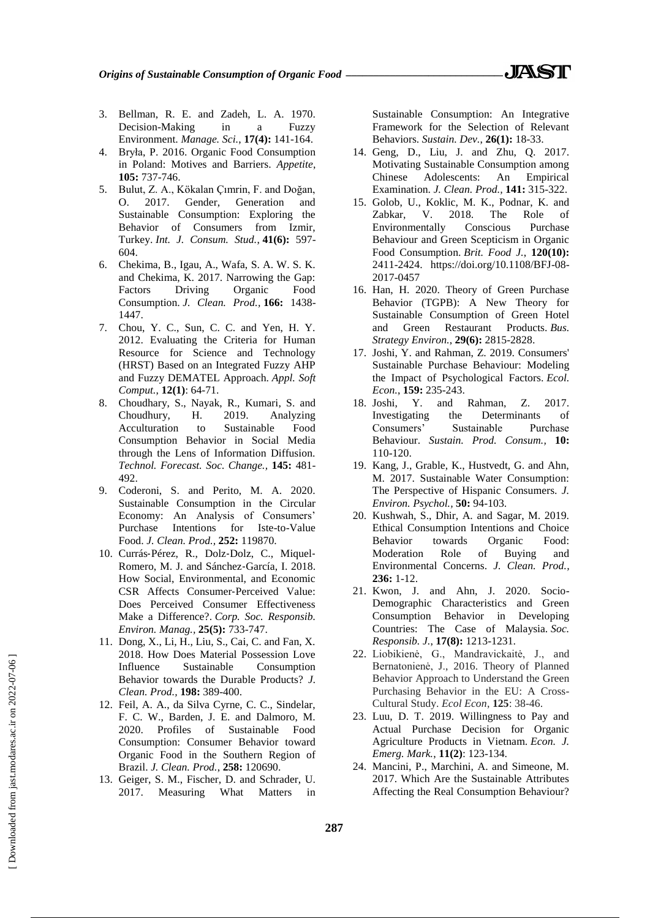- 3. Bellman, R. E. and Zadeh, L. A. 1970. Decision-Making in a Fuzzy Environment. *Manage. Sci.*, **17(4):** 141-164.
- 4. Bryła, P. 2016. Organic Food Consumption in Poland: Motives and Barriers. *Appetite*, **105:** 737-746.
- 5. Bulut, Z. A., Kökalan Çımrin, F. and Doğan, O. 2017. Gender, Generation and Sustainable Consumption: Exploring the Behavior of Consumers from Izmir, Turkey. *Int. J. Consum. Stud.*, **41(6):** 597- 604.
- 6. Chekima, B., Igau, A., Wafa, S. A. W. S. K. and Chekima, K. 2017. Narrowing the Gap: Factors Driving Organic Food Consumption. *J. Clean. Prod.,* **166:** 1438- 1447.
- 7. Chou, Y. C., Sun, C. C. and Yen, H. Y. 2012. Evaluating the Criteria for Human Resource for Science and Technology (HRST) Based on an Integrated Fuzzy AHP and Fuzzy DEMATEL Approach. *Appl. Soft Comput.*, **12(1)**: 64-71.
- 8. Choudhary, S., Nayak, R., Kumari, S. and Choudhury, H. 2019. Analyzing Acculturation to Sustainable Food Consumption Behavior in Social Media through the Lens of Information Diffusion. *Technol. Forecast. Soc. Change.,* **145:** 481- 492.
- 9. Coderoni, S. and Perito, M. A. 2020. Sustainable Consumption in the Circular Economy: An Analysis of Consumers' Purchase Intentions for Iste-to-Value Food. *J. Clean. Prod.,* **252:** 119870.
- 10. Currás‐Pérez, R., Dolz‐Dolz, C., Miquel‐ Romero, M. J. and Sánchez‐García, I. 2018. How Social, Environmental, and Economic CSR Affects Consumer‐Perceived Value: Does Perceived Consumer Effectiveness Make a Difference?. *Corp. Soc. Responsib. Environ. Manag.,* **25(5):** 733-747.
- 11. Dong, X., Li, H., Liu, S., Cai, C. and Fan, X. 2018. How Does Material Possession Love Influence Sustainable Consumption Behavior towards the Durable Products? *J. Clean. Prod.,* **198:** 389-400.
- 12. Feil, A. A., da Silva Cyrne, C. C., Sindelar, F. C. W., Barden, J. E. and Dalmoro, M. 2020. Profiles of Sustainable Food Consumption: Consumer Behavior toward Organic Food in the Southern Region of Brazil. *J. Clean. Prod.*, **258:** 120690.
- 13. Geiger, S. M., Fischer, D. and Schrader, U. 2017. Measuring What Matters in

Sustainable Consumption: An Integrative Framework for the Selection of Relevant Behaviors. *Sustain. Dev.*, **26(1):** 18-33.

- 14. Geng, D., Liu, J. and Zhu, Q. 2017. Motivating Sustainable Consumption among Chinese Adolescents: An Empirical Examination. *J. Clean. Prod.,* **141:** 315-322.
- 15. Golob, U., Koklic, M. K., Podnar, K. and Zabkar, V. 2018. The Role of Environmentally Conscious Purchase Behaviour and Green Scepticism in Organic Food Consumption. *Brit. Food J.*, **120(10):** 2411-2424. https://doi.org/10.1108/BFJ-08- 2017-0457
- 16. Han, H. 2020. Theory of Green Purchase Behavior (TGPB): A New Theory for Sustainable Consumption of Green Hotel and Green Restaurant Products. *Bus. Strategy Environ.*, **29(6):** 2815-2828.
- 17. Joshi, Y. and Rahman, Z. 2019. Consumers' Sustainable Purchase Behaviour: Modeling the Impact of Psychological Factors. *Ecol. Econ.*, **159:** 235-243.
- 18. Joshi, Y. and Rahman, Z. 2017. Investigating the Determinants of Consumers" Sustainable Purchase Behaviour. *Sustain. Prod. Consum.,* **10:** 110-120.
- 19. Kang, J., Grable, K., Hustvedt, G. and Ahn, M. 2017. Sustainable Water Consumption: The Perspective of Hispanic Consumers. *J. Environ. Psychol.,* **50:** 94-103.
- 20. Kushwah, S., Dhir, A. and Sagar, M. 2019. Ethical Consumption Intentions and Choice Behavior towards Organic Food: Moderation Role of Buying and Environmental Concerns. *J. Clean. Prod.,* **236:** 1-12.
- 21. Kwon, J. and Ahn, J. 2020. Socio-Demographic Characteristics and Green Consumption Behavior in Developing Countries: The Case of Malaysia. *Soc. Responsib. J.*, **17(8):** 1213-1231.
- 22. Liobikienė, G., Mandravickaitė, J., and Bernatonienė, J., 2016. Theory of Planned Behavior Approach to Understand the Green Purchasing Behavior in the EU: A Cross-Cultural Study. *Ecol Econ*, **125**: 38-46.
- 23. Luu, D. T. 2019. Willingness to Pay and Actual Purchase Decision for Organic Agriculture Products in Vietnam. *Econ. J. Emerg. Mark.*, **11(2)**: 123-134.
- 24. Mancini, P., Marchini, A. and Simeone, M. 2017. Which Are the Sustainable Attributes Affecting the Real Consumption Behaviour?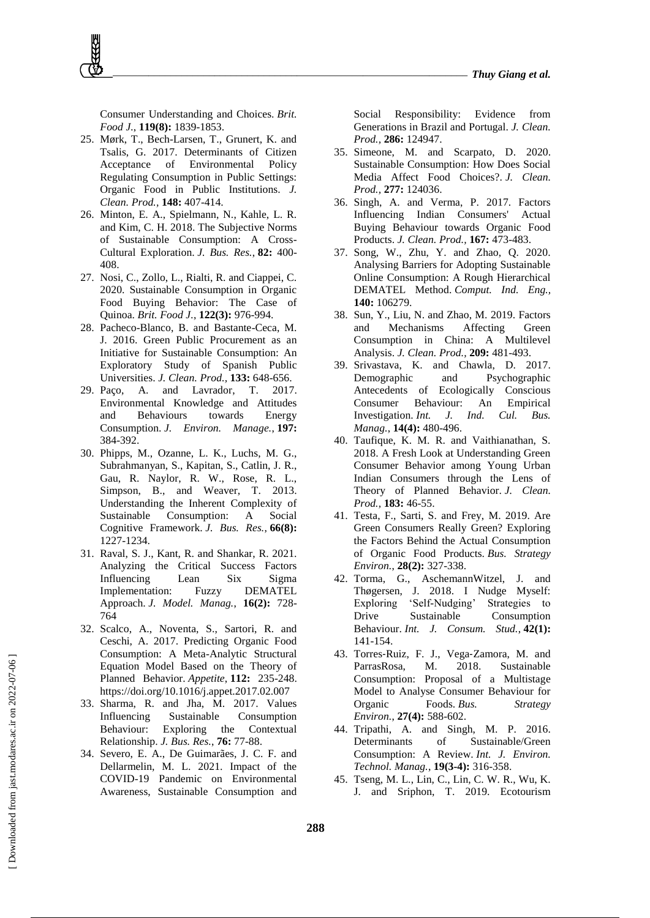Consumer Understanding and Choices. *Brit. Food J.*, **119(8):** 1839-1853.

- 25. Mørk, T., Bech-Larsen, T., Grunert, K. and Tsalis, G. 2017. Determinants of Citizen Acceptance of Environmental Policy Regulating Consumption in Public Settings: Organic Food in Public Institutions. *J. Clean. Prod.,* **148:** 407-414.
- 26. Minton, E. A., Spielmann, N., Kahle, L. R. and Kim, C. H. 2018. The Subjective Norms of Sustainable Consumption: A Cross-Cultural Exploration. *J. Bus. Res.*, **82:** 400- 408.
- 27. Nosi, C., Zollo, L., Rialti, R. and Ciappei, C. 2020. Sustainable Consumption in Organic Food Buying Behavior: The Case of Quinoa. *Brit. Food J.*, **122(3):** 976-994.
- 28. Pacheco-Blanco, B. and Bastante-Ceca, M. J. 2016. Green Public Procurement as an Initiative for Sustainable Consumption: An Exploratory Study of Spanish Public Universities. *J. Clean. Prod.,* **133:** 648-656.
- 29. Paço, A. and Lavrador, T. 2017. Environmental Knowledge and Attitudes and Behaviours towards Energy Consumption. *J. Environ. Manage.*, **197:** 384-392.
- 30. Phipps, M., Ozanne, L. K., Luchs, M. G., Subrahmanyan, S., Kapitan, S., Catlin, J. R., Gau, R. Naylor, R. W., Rose, R. L., Simpson, B., and Weaver, T. 2013. Understanding the Inherent Complexity of Sustainable Consumption: A Social Cognitive Framework. *J. Bus. Res.*, **66(8):** 1227-1234.
- 31. Raval, S. J., Kant, R. and Shankar, R. 2021. Analyzing the Critical Success Factors Influencing Lean Six Sigma Implementation: Fuzzy DEMATEL Approach. *J. Model. Manag.*, **16(2):** 728- 764
- 32. Scalco, A., Noventa, S., Sartori, R. and Ceschi, A. 2017. Predicting Organic Food Consumption: A Meta-Analytic Structural Equation Model Based on the Theory of Planned Behavior. *Appetite*, **112:** 235-248. https://doi.org/10.1016/j.appet.2017.02.007
- 33. Sharma, R. and Jha, M. 2017. Values Influencing Sustainable Consumption Behaviour: Exploring the Contextual Relationship. *J. Bus. Res.*, **76:** 77-88.
- 34. Severo, E. A., De Guimarães, J. C. F. and Dellarmelin, M. L. 2021. Impact of the COVID-19 Pandemic on Environmental Awareness, Sustainable Consumption and

Social Responsibility: Evidence from Generations in Brazil and Portugal. *J. Clean. Prod.,* **286:** 124947.

- 35. Simeone, M. and Scarpato, D. 2020. Sustainable Consumption: How Does Social Media Affect Food Choices?. *J. Clean. Prod.,* **277:** 124036.
- 36. Singh, A. and Verma, P. 2017. Factors Influencing Indian Consumers' Actual Buying Behaviour towards Organic Food Products. *J. Clean. Prod.,* **167:** 473-483.
- 37. Song, W., Zhu, Y. and Zhao, Q. 2020. Analysing Barriers for Adopting Sustainable Online Consumption: A Rough Hierarchical DEMATEL Method. *Comput. Ind. Eng.,*  **140:** 106279.
- 38. Sun, Y., Liu, N. and Zhao, M. 2019. Factors and Mechanisms Affecting Green Consumption in China: A Multilevel Analysis. *J. Clean. Prod.,* **209:** 481-493.
- 39. Srivastava, K. and Chawla, D. 2017. Demographic and Psychographic Antecedents of Ecologically Conscious Consumer Behaviour: An Empirical Investigation. *Int. J. Ind. Cul. Bus. Manag.*, **14(4):** 480-496.
- 40. Taufique, K. M. R. and Vaithianathan, S. 2018. A Fresh Look at Understanding Green Consumer Behavior among Young Urban Indian Consumers through the Lens of Theory of Planned Behavior. *J. Clean. Prod.,* **183:** 46-55.
- 41. Testa, F., Sarti, S. and Frey, M. 2019. Are Green Consumers Really Green? Exploring the Factors Behind the Actual Consumption of Organic Food Products. *Bus. Strategy Environ.*, **28(2):** 327-338.
- 42. Torma, G., AschemannWitzel, J. and Thøgersen, J. 2018. I Nudge Myself: Exploring 'Self-Nudging' Strategies to Drive Sustainable Consumption Behaviour. *Int. J. Consum. Stud.*, **42(1):** 141-154.
- 43. Torres‐Ruiz, F. J., Vega‐Zamora, M. and ParrasRosa, M. 2018. Sustainable Consumption: Proposal of a Multistage Model to Analyse Consumer Behaviour for Organic Foods. *Bus. Strategy Environ.*, **27(4):** 588-602.
- 44. Tripathi, A. and Singh, M. P. 2016. Determinants of Sustainable/Green Consumption: A Review. *Int. J. Environ. Technol. Manag.*, **19(3-4):** 316-358.
- 45. Tseng, M. L., Lin, C., Lin, C. W. R., Wu, K. J. and Sriphon, T. 2019. Ecotourism